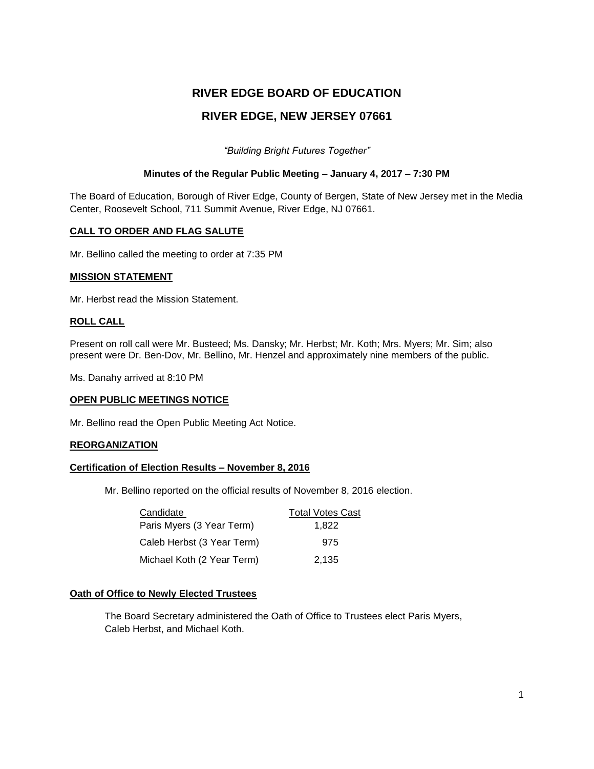# **RIVER EDGE BOARD OF EDUCATION RIVER EDGE, NEW JERSEY 07661**

*"Building Bright Futures Together"*

# **Minutes of the Regular Public Meeting – January 4, 2017 – 7:30 PM**

The Board of Education, Borough of River Edge, County of Bergen, State of New Jersey met in the Media Center, Roosevelt School, 711 Summit Avenue, River Edge, NJ 07661.

# **CALL TO ORDER AND FLAG SALUTE**

Mr. Bellino called the meeting to order at 7:35 PM

#### **MISSION STATEMENT**

Mr. Herbst read the Mission Statement.

# **ROLL CALL**

Present on roll call were Mr. Busteed; Ms. Dansky; Mr. Herbst; Mr. Koth; Mrs. Myers; Mr. Sim; also present were Dr. Ben-Dov, Mr. Bellino, Mr. Henzel and approximately nine members of the public.

Ms. Danahy arrived at 8:10 PM

#### **OPEN PUBLIC MEETINGS NOTICE**

Mr. Bellino read the Open Public Meeting Act Notice.

#### **REORGANIZATION**

#### **Certification of Election Results – November 8, 2016**

Mr. Bellino reported on the official results of November 8, 2016 election.

| Candidate                  | <b>Total Votes Cast</b> |
|----------------------------|-------------------------|
| Paris Myers (3 Year Term)  | 1.822                   |
| Caleb Herbst (3 Year Term) | 975                     |
| Michael Koth (2 Year Term) | 2,135                   |

#### **Oath of Office to Newly Elected Trustees**

The Board Secretary administered the Oath of Office to Trustees elect Paris Myers, Caleb Herbst, and Michael Koth.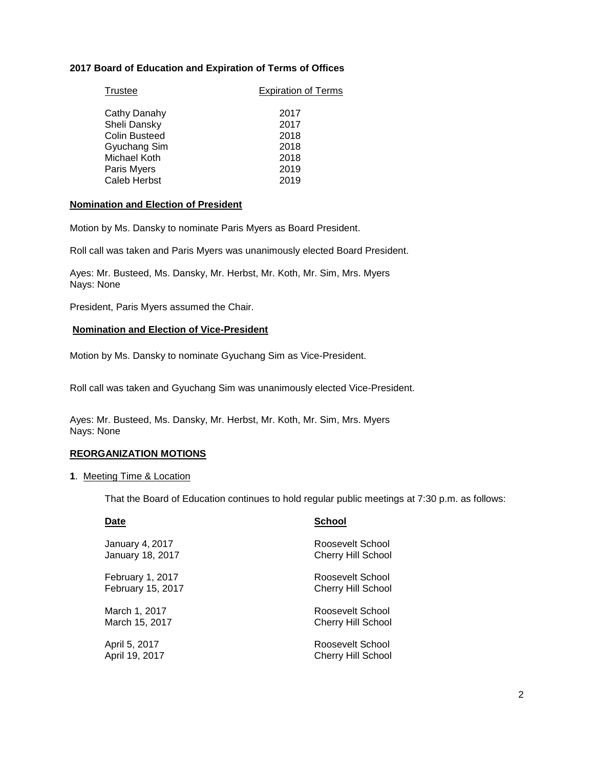# **2017 Board of Education and Expiration of Terms of Offices**

| <b>Trustee</b>       | <b>Expiration of Terms</b> |
|----------------------|----------------------------|
| Cathy Danahy         | 2017                       |
| Sheli Dansky         | 2017                       |
| <b>Colin Busteed</b> | 2018                       |
| Gyuchang Sim         | 2018                       |
| Michael Koth         | 2018                       |
| Paris Myers          | 2019                       |
| Caleb Herbst         | 2019                       |

#### **Nomination and Election of President**

Motion by Ms. Dansky to nominate Paris Myers as Board President.

Roll call was taken and Paris Myers was unanimously elected Board President.

Ayes: Mr. Busteed, Ms. Dansky, Mr. Herbst, Mr. Koth, Mr. Sim, Mrs. Myers Nays: None

President, Paris Myers assumed the Chair.

#### **Nomination and Election of Vice-President**

Motion by Ms. Dansky to nominate Gyuchang Sim as Vice-President.

Roll call was taken and Gyuchang Sim was unanimously elected Vice-President.

Ayes: Mr. Busteed, Ms. Dansky, Mr. Herbst, Mr. Koth, Mr. Sim, Mrs. Myers Nays: None

#### **REORGANIZATION MOTIONS**

#### **1**. Meeting Time & Location

That the Board of Education continues to hold regular public meetings at 7:30 p.m. as follows:

| Date                   | <b>School</b>             |
|------------------------|---------------------------|
| <b>January 4, 2017</b> | Roosevelt School          |
| January 18, 2017       | <b>Cherry Hill School</b> |
| February 1, 2017       | Roosevelt School          |
| February 15, 2017      | <b>Cherry Hill School</b> |
| March 1, 2017          | Roosevelt School          |
| March 15, 2017         | <b>Cherry Hill School</b> |
| April 5, 2017          | Roosevelt School          |
| April 19, 2017         | <b>Cherry Hill School</b> |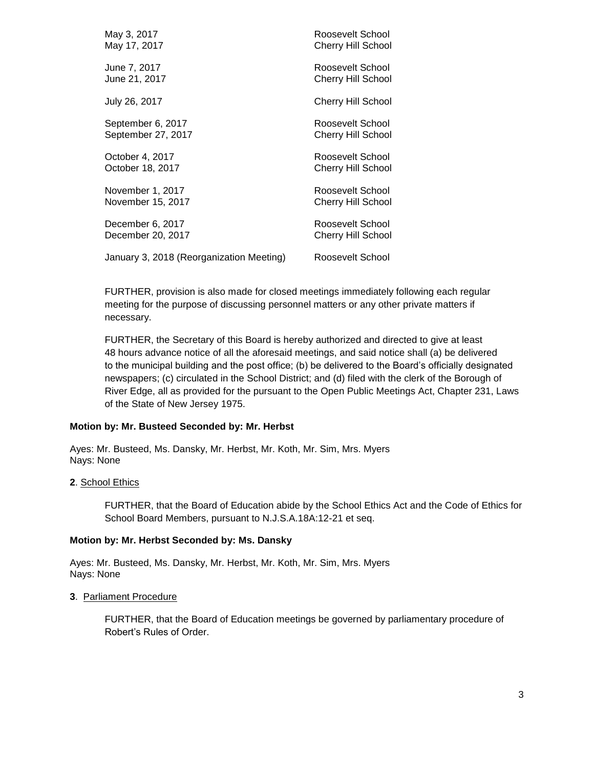| May 3, 2017                              | Roosevelt School          |
|------------------------------------------|---------------------------|
| May 17, 2017                             | <b>Cherry Hill School</b> |
| June 7, 2017                             | Roosevelt School          |
| June 21, 2017                            | <b>Cherry Hill School</b> |
| July 26, 2017                            | Cherry Hill School        |
| September 6, 2017                        | Roosevelt School          |
| September 27, 2017                       | <b>Cherry Hill School</b> |
| October 4, 2017                          | Roosevelt School          |
| October 18, 2017                         | <b>Cherry Hill School</b> |
| November 1, 2017                         | Roosevelt School          |
| November 15, 2017                        | Cherry Hill School        |
| December 6, 2017                         | Roosevelt School          |
| December 20, 2017                        | Cherry Hill School        |
| January 3, 2018 (Reorganization Meeting) | Roosevelt School          |

FURTHER, provision is also made for closed meetings immediately following each regular meeting for the purpose of discussing personnel matters or any other private matters if necessary.

FURTHER, the Secretary of this Board is hereby authorized and directed to give at least 48 hours advance notice of all the aforesaid meetings, and said notice shall (a) be delivered to the municipal building and the post office; (b) be delivered to the Board's officially designated newspapers; (c) circulated in the School District; and (d) filed with the clerk of the Borough of River Edge, all as provided for the pursuant to the Open Public Meetings Act, Chapter 231, Laws of the State of New Jersey 1975.

#### **Motion by: Mr. Busteed Seconded by: Mr. Herbst**

Ayes: Mr. Busteed, Ms. Dansky, Mr. Herbst, Mr. Koth, Mr. Sim, Mrs. Myers Nays: None

#### **2**. School Ethics

FURTHER, that the Board of Education abide by the School Ethics Act and the Code of Ethics for School Board Members, pursuant to N.J.S.A.18A:12-21 et seq.

#### **Motion by: Mr. Herbst Seconded by: Ms. Dansky**

Ayes: Mr. Busteed, Ms. Dansky, Mr. Herbst, Mr. Koth, Mr. Sim, Mrs. Myers Nays: None

#### **3**. Parliament Procedure

FURTHER, that the Board of Education meetings be governed by parliamentary procedure of Robert's Rules of Order.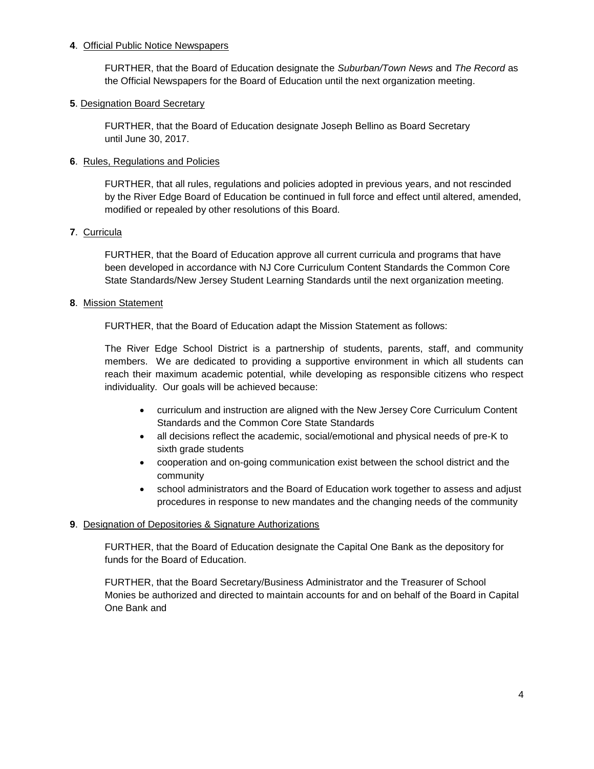# **4**. Official Public Notice Newspapers

FURTHER, that the Board of Education designate the *Suburban/Town News* and *The Record* as the Official Newspapers for the Board of Education until the next organization meeting.

# **5**. Designation Board Secretary

FURTHER, that the Board of Education designate Joseph Bellino as Board Secretary until June 30, 2017.

# **6**. Rules, Regulations and Policies

FURTHER, that all rules, regulations and policies adopted in previous years, and not rescinded by the River Edge Board of Education be continued in full force and effect until altered, amended, modified or repealed by other resolutions of this Board.

# **7**. Curricula

FURTHER, that the Board of Education approve all current curricula and programs that have been developed in accordance with NJ Core Curriculum Content Standards the Common Core State Standards/New Jersey Student Learning Standards until the next organization meeting.

# **8**. Mission Statement

FURTHER, that the Board of Education adapt the Mission Statement as follows:

The River Edge School District is a partnership of students, parents, staff, and community members. We are dedicated to providing a supportive environment in which all students can reach their maximum academic potential, while developing as responsible citizens who respect individuality. Our goals will be achieved because:

- curriculum and instruction are aligned with the New Jersey Core Curriculum Content Standards and the Common Core State Standards
- all decisions reflect the academic, social/emotional and physical needs of pre-K to sixth grade students
- cooperation and on-going communication exist between the school district and the community
- school administrators and the Board of Education work together to assess and adjust procedures in response to new mandates and the changing needs of the community

#### **9**. Designation of Depositories & Signature Authorizations

FURTHER, that the Board of Education designate the Capital One Bank as the depository for funds for the Board of Education.

FURTHER, that the Board Secretary/Business Administrator and the Treasurer of School Monies be authorized and directed to maintain accounts for and on behalf of the Board in Capital One Bank and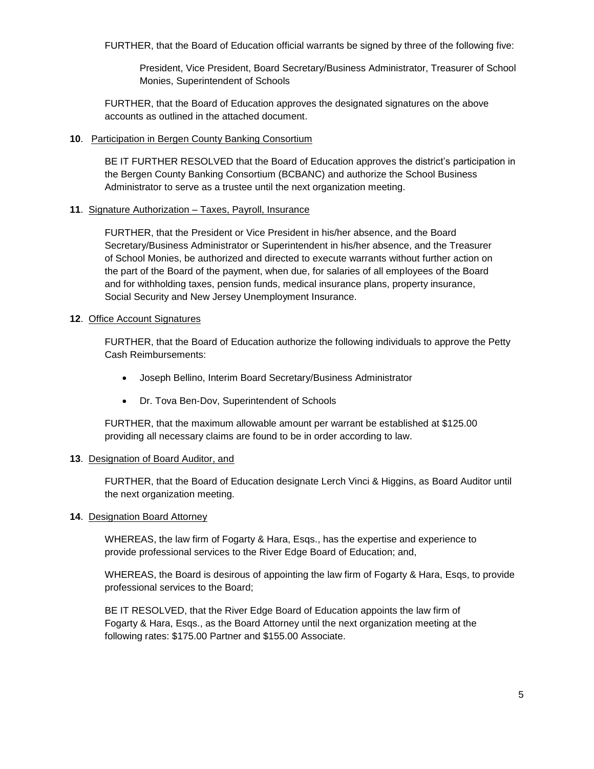FURTHER, that the Board of Education official warrants be signed by three of the following five:

President, Vice President, Board Secretary/Business Administrator, Treasurer of School Monies, Superintendent of Schools

FURTHER, that the Board of Education approves the designated signatures on the above accounts as outlined in the attached document.

## **10**. Participation in Bergen County Banking Consortium

BE IT FURTHER RESOLVED that the Board of Education approves the district's participation in the Bergen County Banking Consortium (BCBANC) and authorize the School Business Administrator to serve as a trustee until the next organization meeting.

# **11**. Signature Authorization – Taxes, Payroll, Insurance

FURTHER, that the President or Vice President in his/her absence, and the Board Secretary/Business Administrator or Superintendent in his/her absence, and the Treasurer of School Monies, be authorized and directed to execute warrants without further action on the part of the Board of the payment, when due, for salaries of all employees of the Board and for withholding taxes, pension funds, medical insurance plans, property insurance, Social Security and New Jersey Unemployment Insurance.

# **12**. Office Account Signatures

FURTHER, that the Board of Education authorize the following individuals to approve the Petty Cash Reimbursements:

- Joseph Bellino, Interim Board Secretary/Business Administrator
- Dr. Tova Ben-Dov, Superintendent of Schools

FURTHER, that the maximum allowable amount per warrant be established at \$125.00 providing all necessary claims are found to be in order according to law.

#### **13**. Designation of Board Auditor, and

FURTHER, that the Board of Education designate Lerch Vinci & Higgins, as Board Auditor until the next organization meeting.

#### **14**. Designation Board Attorney

WHEREAS, the law firm of Fogarty & Hara, Esqs., has the expertise and experience to provide professional services to the River Edge Board of Education; and,

WHEREAS, the Board is desirous of appointing the law firm of Fogarty & Hara, Esqs, to provide professional services to the Board;

BE IT RESOLVED, that the River Edge Board of Education appoints the law firm of Fogarty & Hara, Esqs., as the Board Attorney until the next organization meeting at the following rates: \$175.00 Partner and \$155.00 Associate.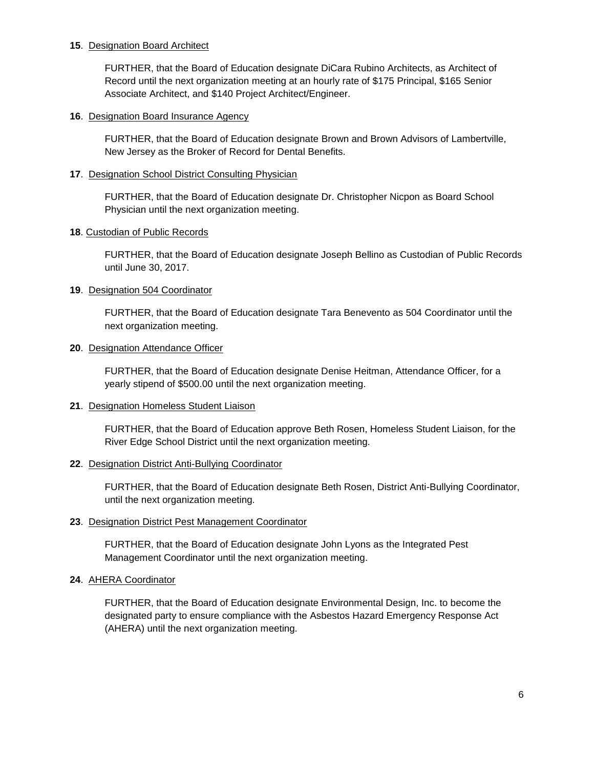# **15**. Designation Board Architect

FURTHER, that the Board of Education designate DiCara Rubino Architects, as Architect of Record until the next organization meeting at an hourly rate of \$175 Principal, \$165 Senior Associate Architect, and \$140 Project Architect/Engineer.

#### **16**. Designation Board Insurance Agency

FURTHER, that the Board of Education designate Brown and Brown Advisors of Lambertville, New Jersey as the Broker of Record for Dental Benefits.

# **17**. Designation School District Consulting Physician

FURTHER, that the Board of Education designate Dr. Christopher Nicpon as Board School Physician until the next organization meeting.

# **18**. Custodian of Public Records

FURTHER, that the Board of Education designate Joseph Bellino as Custodian of Public Records until June 30, 2017.

# **19**. Designation 504 Coordinator

FURTHER, that the Board of Education designate Tara Benevento as 504 Coordinator until the next organization meeting.

# **20**. Designation Attendance Officer

FURTHER, that the Board of Education designate Denise Heitman, Attendance Officer, for a yearly stipend of \$500.00 until the next organization meeting.

# **21**. Designation Homeless Student Liaison

FURTHER, that the Board of Education approve Beth Rosen, Homeless Student Liaison, for the River Edge School District until the next organization meeting.

#### **22**. Designation District Anti-Bullying Coordinator

FURTHER, that the Board of Education designate Beth Rosen, District Anti-Bullying Coordinator, until the next organization meeting.

#### **23**. Designation District Pest Management Coordinator

FURTHER, that the Board of Education designate John Lyons as the Integrated Pest Management Coordinator until the next organization meeting.

#### **24**. AHERA Coordinator

FURTHER, that the Board of Education designate Environmental Design, Inc. to become the designated party to ensure compliance with the Asbestos Hazard Emergency Response Act (AHERA) until the next organization meeting.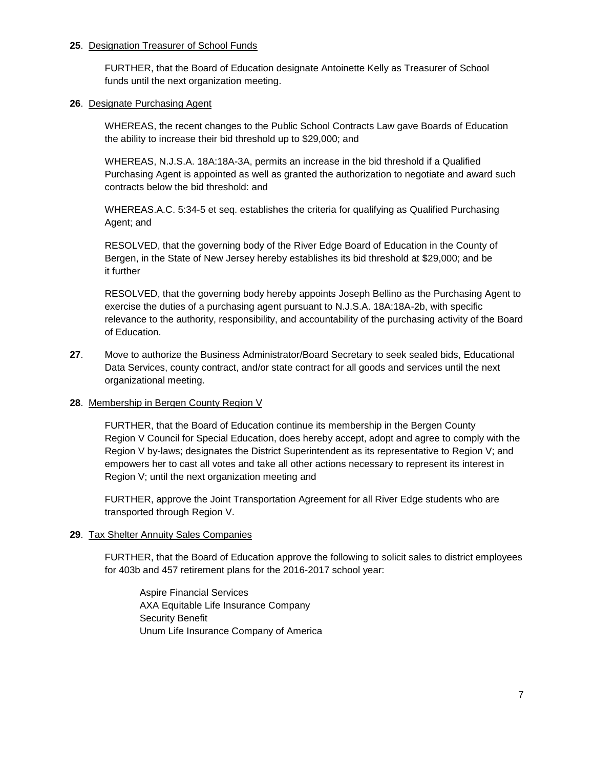# **25**. Designation Treasurer of School Funds

FURTHER, that the Board of Education designate Antoinette Kelly as Treasurer of School funds until the next organization meeting.

## **26**. Designate Purchasing Agent

WHEREAS, the recent changes to the Public School Contracts Law gave Boards of Education the ability to increase their bid threshold up to \$29,000; and

WHEREAS, N.J.S.A. 18A:18A-3A, permits an increase in the bid threshold if a Qualified Purchasing Agent is appointed as well as granted the authorization to negotiate and award such contracts below the bid threshold: and

WHEREAS.A.C. 5:34-5 et seq. establishes the criteria for qualifying as Qualified Purchasing Agent; and

RESOLVED, that the governing body of the River Edge Board of Education in the County of Bergen, in the State of New Jersey hereby establishes its bid threshold at \$29,000; and be it further

RESOLVED, that the governing body hereby appoints Joseph Bellino as the Purchasing Agent to exercise the duties of a purchasing agent pursuant to N.J.S.A. 18A:18A-2b, with specific relevance to the authority, responsibility, and accountability of the purchasing activity of the Board of Education.

**27**. Move to authorize the Business Administrator/Board Secretary to seek sealed bids, Educational Data Services, county contract, and/or state contract for all goods and services until the next organizational meeting.

# **28**. Membership in Bergen County Region V

FURTHER, that the Board of Education continue its membership in the Bergen County Region V Council for Special Education, does hereby accept, adopt and agree to comply with the Region V by-laws; designates the District Superintendent as its representative to Region V; and empowers her to cast all votes and take all other actions necessary to represent its interest in Region V; until the next organization meeting and

FURTHER, approve the Joint Transportation Agreement for all River Edge students who are transported through Region V.

#### **29**. Tax Shelter Annuity Sales Companies

FURTHER, that the Board of Education approve the following to solicit sales to district employees for 403b and 457 retirement plans for the 2016-2017 school year:

Aspire Financial Services AXA Equitable Life Insurance Company Security Benefit Unum Life Insurance Company of America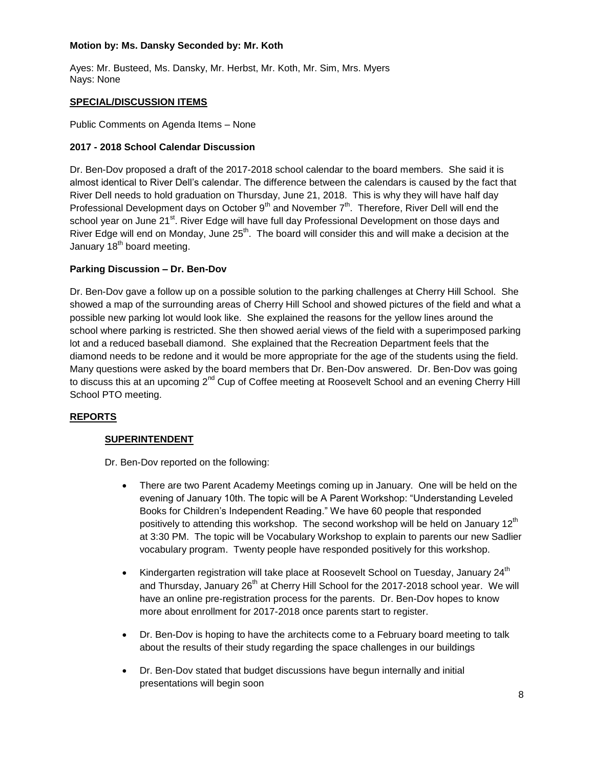# **Motion by: Ms. Dansky Seconded by: Mr. Koth**

Ayes: Mr. Busteed, Ms. Dansky, Mr. Herbst, Mr. Koth, Mr. Sim, Mrs. Myers Nays: None

# **SPECIAL/DISCUSSION ITEMS**

Public Comments on Agenda Items – None

# **2017 - 2018 School Calendar Discussion**

Dr. Ben-Dov proposed a draft of the 2017-2018 school calendar to the board members. She said it is almost identical to River Dell's calendar. The difference between the calendars is caused by the fact that River Dell needs to hold graduation on Thursday, June 21, 2018. This is why they will have half day Professional Development days on October  $9<sup>th</sup>$  and November  $7<sup>th</sup>$ . Therefore, River Dell will end the school year on June 21<sup>st</sup>. River Edge will have full day Professional Development on those days and River Edge will end on Monday, June 25<sup>th</sup>. The board will consider this and will make a decision at the January  $18<sup>th</sup>$  board meeting.

# **Parking Discussion – Dr. Ben-Dov**

Dr. Ben-Dov gave a follow up on a possible solution to the parking challenges at Cherry Hill School. She showed a map of the surrounding areas of Cherry Hill School and showed pictures of the field and what a possible new parking lot would look like. She explained the reasons for the yellow lines around the school where parking is restricted. She then showed aerial views of the field with a superimposed parking lot and a reduced baseball diamond. She explained that the Recreation Department feels that the diamond needs to be redone and it would be more appropriate for the age of the students using the field. Many questions were asked by the board members that Dr. Ben-Dov answered. Dr. Ben-Dov was going to discuss this at an upcoming 2<sup>nd</sup> Cup of Coffee meeting at Roosevelt School and an evening Cherry Hill School PTO meeting.

# **REPORTS**

#### **SUPERINTENDENT**

Dr. Ben-Dov reported on the following:

- There are two Parent Academy Meetings coming up in January. One will be held on the evening of January 10th. The topic will be A Parent Workshop: "Understanding Leveled Books for Children's Independent Reading." We have 60 people that responded positively to attending this workshop. The second workshop will be held on January  $12<sup>th</sup>$ at 3:30 PM. The topic will be Vocabulary Workshop to explain to parents our new Sadlier vocabulary program. Twenty people have responded positively for this workshop.
- Kindergarten registration will take place at Roosevelt School on Tuesday, January  $24<sup>th</sup>$ and Thursday, January 26<sup>th</sup> at Cherry Hill School for the 2017-2018 school year. We will have an online pre-registration process for the parents. Dr. Ben-Dov hopes to know more about enrollment for 2017-2018 once parents start to register.
- Dr. Ben-Dov is hoping to have the architects come to a February board meeting to talk about the results of their study regarding the space challenges in our buildings
- Dr. Ben-Dov stated that budget discussions have begun internally and initial presentations will begin soon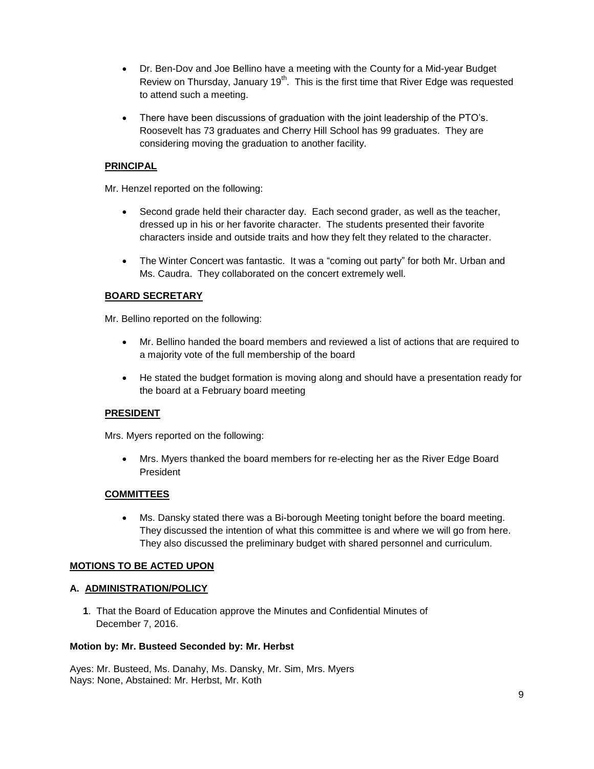- Dr. Ben-Dov and Joe Bellino have a meeting with the County for a Mid-year Budget Review on Thursday, January 19<sup>th</sup>. This is the first time that River Edge was requested to attend such a meeting.
- There have been discussions of graduation with the joint leadership of the PTO's. Roosevelt has 73 graduates and Cherry Hill School has 99 graduates. They are considering moving the graduation to another facility.

# **PRINCIPAL**

Mr. Henzel reported on the following:

- Second grade held their character day. Each second grader, as well as the teacher, dressed up in his or her favorite character. The students presented their favorite characters inside and outside traits and how they felt they related to the character.
- The Winter Concert was fantastic. It was a "coming out party" for both Mr. Urban and Ms. Caudra. They collaborated on the concert extremely well.

# **BOARD SECRETARY**

Mr. Bellino reported on the following:

- Mr. Bellino handed the board members and reviewed a list of actions that are required to a majority vote of the full membership of the board
- He stated the budget formation is moving along and should have a presentation ready for the board at a February board meeting

#### **PRESIDENT**

Mrs. Myers reported on the following:

 Mrs. Myers thanked the board members for re-electing her as the River Edge Board President

#### **COMMITTEES**

 Ms. Dansky stated there was a Bi-borough Meeting tonight before the board meeting. They discussed the intention of what this committee is and where we will go from here. They also discussed the preliminary budget with shared personnel and curriculum.

#### **MOTIONS TO BE ACTED UPON**

#### **A. ADMINISTRATION/POLICY**

**1**. That the Board of Education approve the Minutes and Confidential Minutes of December 7, 2016.

#### **Motion by: Mr. Busteed Seconded by: Mr. Herbst**

Ayes: Mr. Busteed, Ms. Danahy, Ms. Dansky, Mr. Sim, Mrs. Myers Nays: None, Abstained: Mr. Herbst, Mr. Koth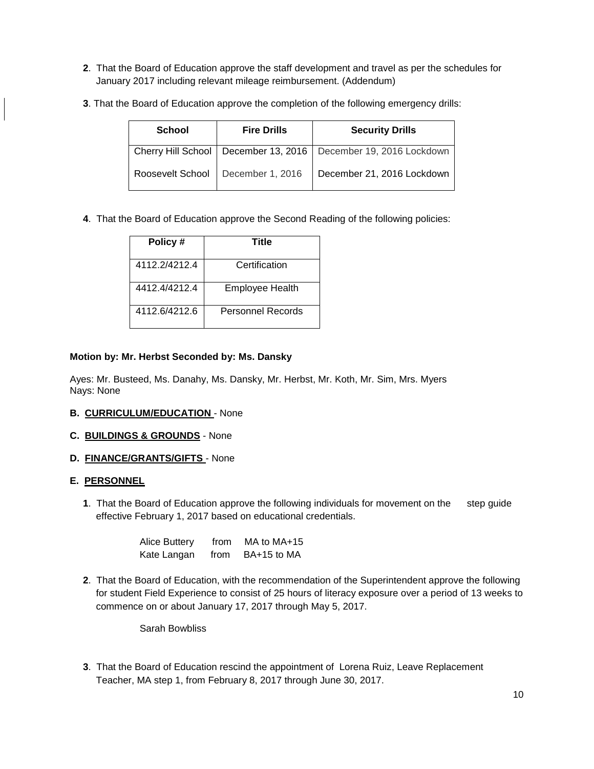- **2**. That the Board of Education approve the staff development and travel as per the schedules for January 2017 including relevant mileage reimbursement. (Addendum)
- **3**. That the Board of Education approve the completion of the following emergency drills:

| <b>School</b> | <b>Fire Drills</b>                  | <b>Security Drills</b>                                              |
|---------------|-------------------------------------|---------------------------------------------------------------------|
|               |                                     | Cherry Hill School   December 13, 2016   December 19, 2016 Lockdown |
|               | Roosevelt School   December 1, 2016 | December 21, 2016 Lockdown                                          |

**4**. That the Board of Education approve the Second Reading of the following policies:

| Policy#       | Title                  |
|---------------|------------------------|
| 4112.2/4212.4 | Certification          |
| 4412 4/4212 4 | <b>Employee Health</b> |
| 4112.6/4212.6 | Personnel Records      |

# **Motion by: Mr. Herbst Seconded by: Ms. Dansky**

Ayes: Mr. Busteed, Ms. Danahy, Ms. Dansky, Mr. Herbst, Mr. Koth, Mr. Sim, Mrs. Myers Nays: None

# **B. CURRICULUM/EDUCATION** - None

- **C. BUILDINGS & GROUNDS** None
- **D. FINANCE/GRANTS/GIFTS**  None

# **E. PERSONNEL**

**1**. That the Board of Education approve the following individuals for movement on the step guide effective February 1, 2017 based on educational credentials.

| <b>Alice Buttery</b> | from | MA to $MA+15$ |
|----------------------|------|---------------|
| Kate Langan          | from | BA+15 to MA   |

**2**. That the Board of Education, with the recommendation of the Superintendent approve the following for student Field Experience to consist of 25 hours of literacy exposure over a period of 13 weeks to commence on or about January 17, 2017 through May 5, 2017.

Sarah Bowbliss

**3**. That the Board of Education rescind the appointment of Lorena Ruiz, Leave Replacement Teacher, MA step 1, from February 8, 2017 through June 30, 2017.